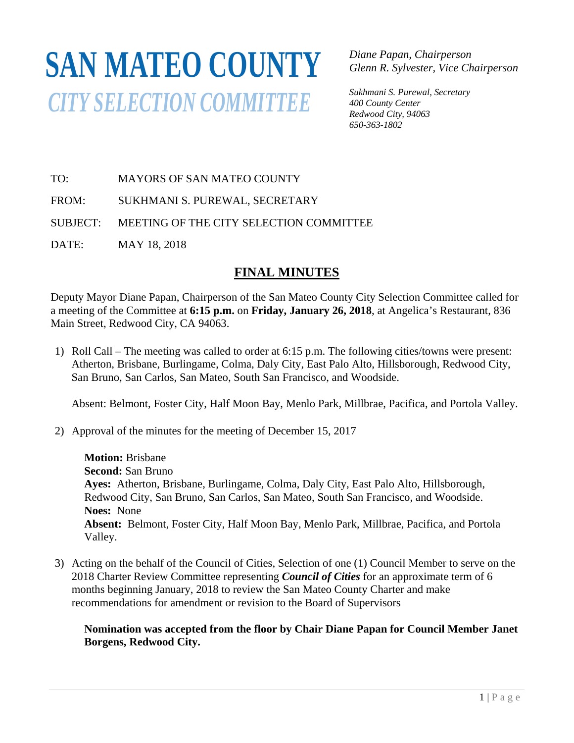# **SAN MATEO COUNTY** *CITY SELECTION COMMITTEE*

*Diane Papan, Chairperson Glenn R. Sylvester, Vice Chairperson* 

*Sukhmani S. Purewal, Secretary 400 County Center Redwood City, 94063 650-363-1802*

TO: MAYORS OF SAN MATEO COUNTY

FROM: SUKHMANI S. PUREWAL, SECRETARY

SUBJECT: MEETING OF THE CITY SELECTION COMMITTEE

DATE: MAY 18, 2018

## **FINAL MINUTES**

Deputy Mayor Diane Papan, Chairperson of the San Mateo County City Selection Committee called for a meeting of the Committee at **6:15 p.m.** on **Friday, January 26, 2018**, at Angelica's Restaurant, 836 Main Street, Redwood City, CA 94063.

1) Roll Call – The meeting was called to order at 6:15 p.m. The following cities/towns were present: Atherton, Brisbane, Burlingame, Colma, Daly City, East Palo Alto, Hillsborough, Redwood City, San Bruno, San Carlos, San Mateo, South San Francisco, and Woodside.

Absent: Belmont, Foster City, Half Moon Bay, Menlo Park, Millbrae, Pacifica, and Portola Valley.

2) Approval of the minutes for the meeting of December 15, 2017

**Motion:** Brisbane **Second:** San Bruno **Ayes:** Atherton, Brisbane, Burlingame, Colma, Daly City, East Palo Alto, Hillsborough, Redwood City, San Bruno, San Carlos, San Mateo, South San Francisco, and Woodside. **Noes:** None **Absent:** Belmont, Foster City, Half Moon Bay, Menlo Park, Millbrae, Pacifica, and Portola Valley.

3) Acting on the behalf of the Council of Cities, Selection of one (1) Council Member to serve on the 2018 Charter Review Committee representing *Council of Cities* for an approximate term of 6 months beginning January, 2018 to review the San Mateo County Charter and make recommendations for amendment or revision to the Board of Supervisors

#### **Nomination was accepted from the floor by Chair Diane Papan for Council Member Janet Borgens, Redwood City.**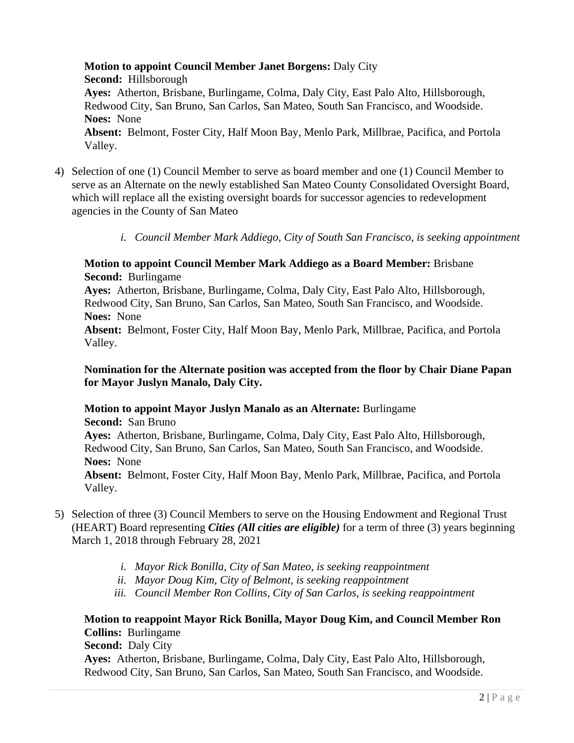**Motion to appoint Council Member Janet Borgens:** Daly City **Second:** Hillsborough **Ayes:** Atherton, Brisbane, Burlingame, Colma, Daly City, East Palo Alto, Hillsborough, Redwood City, San Bruno, San Carlos, San Mateo, South San Francisco, and Woodside. **Noes:** None **Absent:** Belmont, Foster City, Half Moon Bay, Menlo Park, Millbrae, Pacifica, and Portola Valley.

- 4) Selection of one (1) Council Member to serve as board member and one (1) Council Member to serve as an Alternate on the newly established San Mateo County Consolidated Oversight Board, which will replace all the existing oversight boards for successor agencies to redevelopment agencies in the County of San Mateo
	- *i. Council Member Mark Addiego, City of South San Francisco, is seeking appointment*

#### **Motion to appoint Council Member Mark Addiego as a Board Member:** Brisbane **Second:** Burlingame

**Ayes:** Atherton, Brisbane, Burlingame, Colma, Daly City, East Palo Alto, Hillsborough, Redwood City, San Bruno, San Carlos, San Mateo, South San Francisco, and Woodside. **Noes:** None

**Absent:** Belmont, Foster City, Half Moon Bay, Menlo Park, Millbrae, Pacifica, and Portola Valley.

#### **Nomination for the Alternate position was accepted from the floor by Chair Diane Papan for Mayor Juslyn Manalo, Daly City.**

#### **Motion to appoint Mayor Juslyn Manalo as an Alternate:** Burlingame **Second:** San Bruno **Ayes:** Atherton, Brisbane, Burlingame, Colma, Daly City, East Palo Alto, Hillsborough, Redwood City, San Bruno, San Carlos, San Mateo, South San Francisco, and Woodside. **Noes:** None **Absent:** Belmont, Foster City, Half Moon Bay, Menlo Park, Millbrae, Pacifica, and Portola Valley.

- 5) Selection of three (3) Council Members to serve on the Housing Endowment and Regional Trust (HEART) Board representing *Cities (All cities are eligible)* for a term of three (3) years beginning March 1, 2018 through February 28, 2021
	- *i. Mayor Rick Bonilla, City of San Mateo, is seeking reappointment*
	- *ii. Mayor Doug Kim, City of Belmont, is seeking reappointment*
	- *iii. Council Member Ron Collins, City of San Carlos, is seeking reappointment*

### **Motion to reappoint Mayor Rick Bonilla, Mayor Doug Kim, and Council Member Ron Collins:** Burlingame

**Second:** Daly City

**Ayes:** Atherton, Brisbane, Burlingame, Colma, Daly City, East Palo Alto, Hillsborough, Redwood City, San Bruno, San Carlos, San Mateo, South San Francisco, and Woodside.